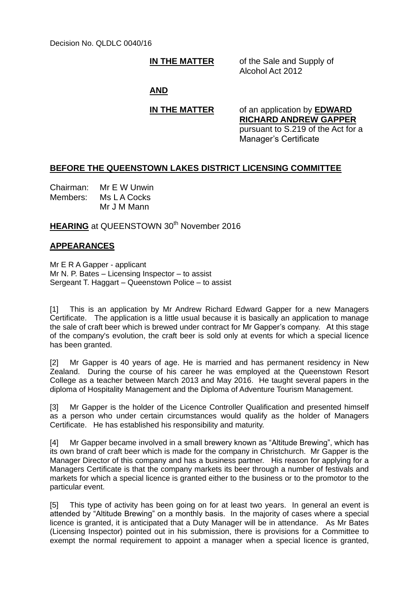**IN THE MATTER** of the Sale and Supply of Alcohol Act 2012

### **AND**

**IN THE MATTER** of an application by **EDWARD RICHARD ANDREW GAPPER** pursuant to S.219 of the Act for a Manager's Certificate

## **BEFORE THE QUEENSTOWN LAKES DISTRICT LICENSING COMMITTEE**

Chairman: Mr E W Unwin Members: Ms L A Cocks Mr J M Mann

**HEARING** at QUEENSTOWN 30<sup>th</sup> November 2016

# **APPEARANCES**

Mr E R A Gapper - applicant Mr N. P. Bates – Licensing Inspector – to assist Sergeant T. Haggart – Queenstown Police – to assist

[1] This is an application by Mr Andrew Richard Edward Gapper for a new Managers Certificate. The application is a little usual because it is basically an application to manage the sale of craft beer which is brewed under contract for Mr Gapper's company. At this stage of the company's evolution, the craft beer is sold only at events for which a special licence has been granted.

[2] Mr Gapper is 40 years of age. He is married and has permanent residency in New Zealand. During the course of his career he was employed at the Queenstown Resort College as a teacher between March 2013 and May 2016. He taught several papers in the diploma of Hospitality Management and the Diploma of Adventure Tourism Management.

[3] Mr Gapper is the holder of the Licence Controller Qualification and presented himself as a person who under certain circumstances would qualify as the holder of Managers Certificate. He has established his responsibility and maturity.

[4] Mr Gapper became involved in a small brewery known as "Altitude Brewing", which has its own brand of craft beer which is made for the company in Christchurch. Mr Gapper is the Manager Director of this company and has a business partner. His reason for applying for a Managers Certificate is that the company markets its beer through a number of festivals and markets for which a special licence is granted either to the business or to the promotor to the particular event.

[5] This type of activity has been going on for at least two years. In general an event is attended by "Altitude Brewing" on a monthly basis. In the majority of cases where a special licence is granted, it is anticipated that a Duty Manager will be in attendance. As Mr Bates (Licensing Inspector) pointed out in his submission, there is provisions for a Committee to exempt the normal requirement to appoint a manager when a special licence is granted,